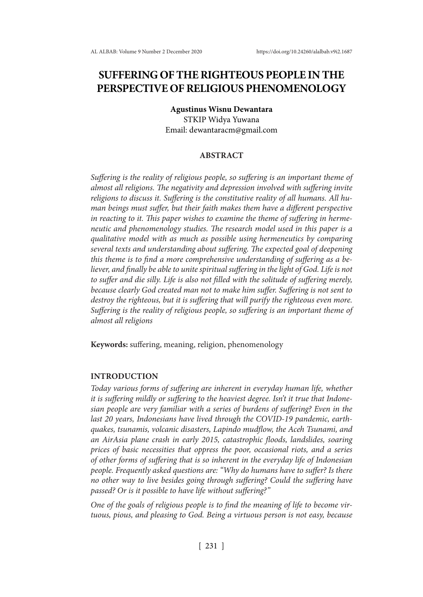# **SUFFERING OF THE RIGHTEOUS PEOPLE IN THE PERSPECTIVE OF RELIGIOUS PHENOMENOLOGY**

### **Agustinus Wisnu Dewantara**

STKIP Widya Yuwana Email: dewantaracm@gmail.com

# **ABSTRACT**

*Suffering is the reality of religious people, so suffering is an important theme of almost all religions. The negativity and depression involved with suffering invite religions to discuss it. Suffering is the constitutive reality of all humans. All human beings must suffer, but their faith makes them have a different perspective in reacting to it. This paper wishes to examine the theme of suffering in hermeneutic and phenomenology studies. The research model used in this paper is a qualitative model with as much as possible using hermeneutics by comparing several texts and understanding about suffering. The expected goal of deepening this theme is to find a more comprehensive understanding of suffering as a believer, and finally be able to unite spiritual suffering in the light of God. Life is not to suffer and die silly. Life is also not filled with the solitude of suffering merely, because clearly God created man not to make him suffer. Suffering is not sent to destroy the righteous, but it is suffering that will purify the righteous even more. Suffering is the reality of religious people, so suffering is an important theme of almost all religions*

**Keywords:** suffering, meaning, religion, phenomenology

## **INTRODUCTION**

*Today various forms of suffering are inherent in everyday human life, whether it is suffering mildly or suffering to the heaviest degree. Isn't it true that Indonesian people are very familiar with a series of burdens of suffering? Even in the last 20 years, Indonesians have lived through the COVID-19 pandemic, earthquakes, tsunamis, volcanic disasters, Lapindo mudflow, the Aceh Tsunami, and an AirAsia plane crash in early 2015, catastrophic floods, landslides, soaring prices of basic necessities that oppress the poor, occasional riots, and a series of other forms of suffering that is so inherent in the everyday life of Indonesian people. Frequently asked questions are: "Why do humans have to suffer? Is there no other way to live besides going through suffering? Could the suffering have passed? Or is it possible to have life without suffering?"*

*One of the goals of religious people is to find the meaning of life to become virtuous, pious, and pleasing to God. Being a virtuous person is not easy, because*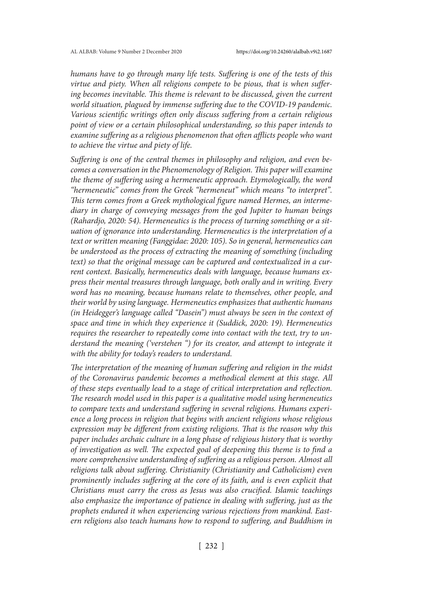*humans have to go through many life tests. Suffering is one of the tests of this virtue and piety. When all religions compete to be pious, that is when suffer*ing becomes inevitable. This theme is relevant to be discussed, given the current *world situation, plagued by immense suffering due to the COVID-19 pandemic. Various scientific writings often only discuss suffering from a certain religious point of view or a certain philosophical understanding, so this paper intends to examine suffering as a religious phenomenon that often afflicts people who want to achieve the virtue and piety of life.*

*Suffering is one of the central themes in philosophy and religion, and even becomes a conversation in the Phenomenology of Religion. This paper will examine the theme of suffering using a hermeneutic approach. Etymologically, the word "hermeneutic" comes from the Greek "hermeneut" which means "to interpret". This term comes from a Greek mythological figure named Hermes, an intermediary in charge of conveying messages from the god Jupiter to human beings (Rahardjo, 2020: 54). Hermeneutics is the process of turning something or a situation of ignorance into understanding. Hermeneutics is the interpretation of a text or written meaning (Fanggidae: 2020: 105). So in general, hermeneutics can be understood as the process of extracting the meaning of something (including text) so that the original message can be captured and contextualized in a current context. Basically, hermeneutics deals with language, because humans express their mental treasures through language, both orally and in writing. Every word has no meaning, because humans relate to themselves, other people, and their world by using language. Hermeneutics emphasizes that authentic humans (in Heidegger's language called "Dasein") must always be seen in the context of space and time in which they experience it (Suddick, 2020: 19). Hermeneutics requires the researcher to repeatedly come into contact with the text, try to understand the meaning ('verstehen ") for its creator, and attempt to integrate it with the ability for today's readers to understand.*

*The interpretation of the meaning of human suffering and religion in the midst of the Coronavirus pandemic becomes a methodical element at this stage. All of these steps eventually lead to a stage of critical interpretation and reflection. The research model used in this paper is a qualitative model using hermeneutics to compare texts and understand suffering in several religions. Humans experience a long process in religion that begins with ancient religions whose religious expression may be different from existing religions. That is the reason why this paper includes archaic culture in a long phase of religious history that is worthy of investigation as well. The expected goal of deepening this theme is to find a more comprehensive understanding of suffering as a religious person. Almost all religions talk about suffering. Christianity (Christianity and Catholicism) even prominently includes suffering at the core of its faith, and is even explicit that Christians must carry the cross as Jesus was also crucified. Islamic teachings also emphasize the importance of patience in dealing with suffering, just as the prophets endured it when experiencing various rejections from mankind. Eastern religions also teach humans how to respond to suffering, and Buddhism in*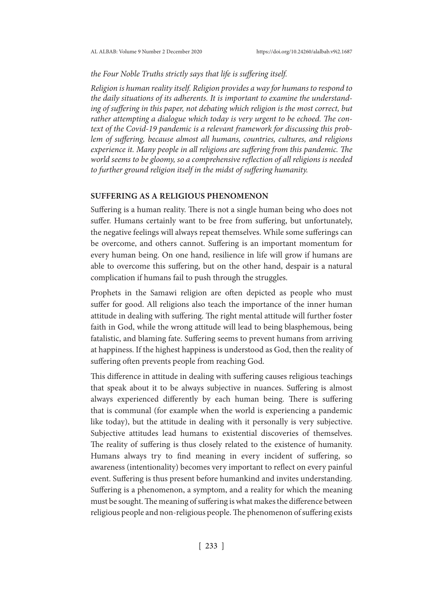*the Four Noble Truths strictly says that life is suffering itself.*

*Religion is human reality itself. Religion provides a way for humans to respond to the daily situations of its adherents. It is important to examine the understand*ing of suffering in this paper, not debating which religion is the most correct, but *rather attempting a dialogue which today is very urgent to be echoed. The context of the Covid-19 pandemic is a relevant framework for discussing this problem of suffering, because almost all humans, countries, cultures, and religions experience it. Many people in all religions are suffering from this pandemic. The world seems to be gloomy, so a comprehensive reflection of all religions is needed to further ground religion itself in the midst of suffering humanity.*

# **SUFFERING AS A RELIGIOUS PHENOMENON**

Suffering is a human reality. There is not a single human being who does not suffer. Humans certainly want to be free from suffering, but unfortunately, the negative feelings will always repeat themselves. While some sufferings can be overcome, and others cannot. Suffering is an important momentum for every human being. On one hand, resilience in life will grow if humans are able to overcome this suffering, but on the other hand, despair is a natural complication if humans fail to push through the struggles.

Prophets in the Samawi religion are often depicted as people who must suffer for good. All religions also teach the importance of the inner human attitude in dealing with suffering. The right mental attitude will further foster faith in God, while the wrong attitude will lead to being blasphemous, being fatalistic, and blaming fate. Suffering seems to prevent humans from arriving at happiness. If the highest happiness is understood as God, then the reality of suffering often prevents people from reaching God.

This difference in attitude in dealing with suffering causes religious teachings that speak about it to be always subjective in nuances. Suffering is almost always experienced differently by each human being. There is suffering that is communal (for example when the world is experiencing a pandemic like today), but the attitude in dealing with it personally is very subjective. Subjective attitudes lead humans to existential discoveries of themselves. The reality of suffering is thus closely related to the existence of humanity. Humans always try to find meaning in every incident of suffering, so awareness (intentionality) becomes very important to reflect on every painful event. Suffering is thus present before humankind and invites understanding. Suffering is a phenomenon, a symptom, and a reality for which the meaning must be sought. The meaning of suffering is what makes the difference between religious people and non-religious people. The phenomenon of suffering exists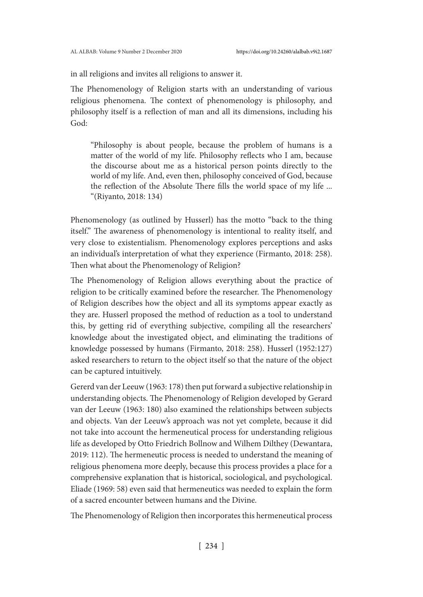in all religions and invites all religions to answer it.

The Phenomenology of Religion starts with an understanding of various religious phenomena. The context of phenomenology is philosophy, and philosophy itself is a reflection of man and all its dimensions, including his God:

"Philosophy is about people, because the problem of humans is a matter of the world of my life. Philosophy reflects who I am, because the discourse about me as a historical person points directly to the world of my life. And, even then, philosophy conceived of God, because the reflection of the Absolute There fills the world space of my life ... "(Riyanto, 2018: 134)

Phenomenology (as outlined by Husserl) has the motto "back to the thing itself." The awareness of phenomenology is intentional to reality itself, and very close to existentialism. Phenomenology explores perceptions and asks an individual's interpretation of what they experience (Firmanto, 2018: 258). Then what about the Phenomenology of Religion?

The Phenomenology of Religion allows everything about the practice of religion to be critically examined before the researcher. The Phenomenology of Religion describes how the object and all its symptoms appear exactly as they are. Husserl proposed the method of reduction as a tool to understand this, by getting rid of everything subjective, compiling all the researchers' knowledge about the investigated object, and eliminating the traditions of knowledge possessed by humans (Firmanto, 2018: 258). Husserl (1952:127) asked researchers to return to the object itself so that the nature of the object can be captured intuitively.

Gererd van der Leeuw (1963: 178) then put forward a subjective relationship in understanding objects. The Phenomenology of Religion developed by Gerard van der Leeuw (1963: 180) also examined the relationships between subjects and objects. Van der Leeuw's approach was not yet complete, because it did not take into account the hermeneutical process for understanding religious life as developed by Otto Friedrich Bollnow and Wilhem Dilthey (Dewantara, 2019: 112). The hermeneutic process is needed to understand the meaning of religious phenomena more deeply, because this process provides a place for a comprehensive explanation that is historical, sociological, and psychological. Eliade (1969: 58) even said that hermeneutics was needed to explain the form of a sacred encounter between humans and the Divine.

The Phenomenology of Religion then incorporates this hermeneutical process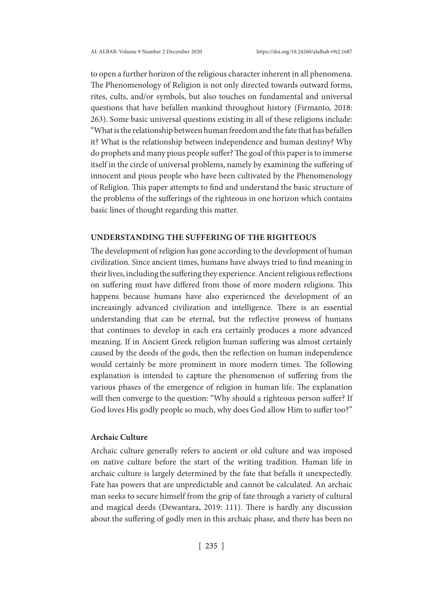to open a further horizon of the religious character inherent in all phenomena. The Phenomenology of Religion is not only directed towards outward forms, rites, cults, and/or symbols, but also touches on fundamental and universal questions that have befallen mankind throughout history (Firmanto, 2018: 263). Some basic universal questions existing in all of these religions include: "What is the relationship between human freedom and the fate that has befallen it? What is the relationship between independence and human destiny? Why do prophets and many pious people suffer? The goal of this paper is to immerse itself in the circle of universal problems, namely by examining the suffering of innocent and pious people who have been cultivated by the Phenomenology of Religion. This paper attempts to find and understand the basic structure of the problems of the sufferings of the righteous in one horizon which contains basic lines of thought regarding this matter.

# **UNDERSTANDING THE SUFFERING OF THE RIGHTEOUS**

The development of religion has gone according to the development of human civilization. Since ancient times, humans have always tried to find meaning in their lives, including the suffering they experience. Ancient religious reflections on suffering must have differed from those of more modern religions. This happens because humans have also experienced the development of an increasingly advanced civilization and intelligence. There is an essential understanding that can be eternal, but the reflective prowess of humans that continues to develop in each era certainly produces a more advanced meaning. If in Ancient Greek religion human suffering was almost certainly caused by the deeds of the gods, then the reflection on human independence would certainly be more prominent in more modern times. The following explanation is intended to capture the phenomenon of suffering from the various phases of the emergence of religion in human life. The explanation will then converge to the question: "Why should a righteous person suffer? If God loves His godly people so much, why does God allow Him to suffer too?"

#### **Archaic Culture**

Archaic culture generally refers to ancient or old culture and was imposed on native culture before the start of the writing tradition. Human life in archaic culture is largely determined by the fate that befalls it unexpectedly. Fate has powers that are unpredictable and cannot be calculated. An archaic man seeks to secure himself from the grip of fate through a variety of cultural and magical deeds (Dewantara, 2019: 111). There is hardly any discussion about the suffering of godly men in this archaic phase, and there has been no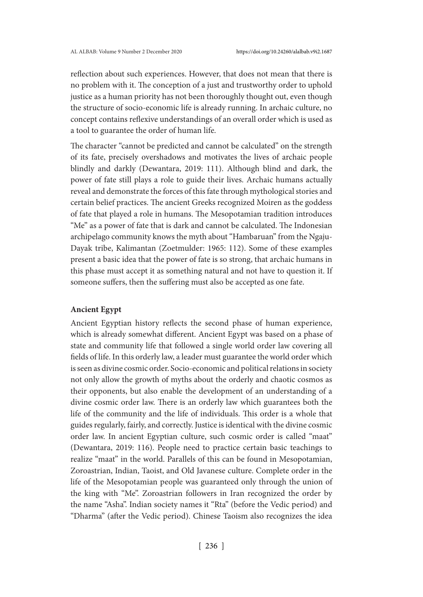reflection about such experiences. However, that does not mean that there is no problem with it. The conception of a just and trustworthy order to uphold justice as a human priority has not been thoroughly thought out, even though the structure of socio-economic life is already running. In archaic culture, no concept contains reflexive understandings of an overall order which is used as a tool to guarantee the order of human life.

The character "cannot be predicted and cannot be calculated" on the strength of its fate, precisely overshadows and motivates the lives of archaic people blindly and darkly (Dewantara, 2019: 111). Although blind and dark, the power of fate still plays a role to guide their lives. Archaic humans actually reveal and demonstrate the forces of this fate through mythological stories and certain belief practices. The ancient Greeks recognized Moiren as the goddess of fate that played a role in humans. The Mesopotamian tradition introduces "Me" as a power of fate that is dark and cannot be calculated. The Indonesian archipelago community knows the myth about "Hambaruan" from the Ngaju-Dayak tribe, Kalimantan (Zoetmulder: 1965: 112). Some of these examples present a basic idea that the power of fate is so strong, that archaic humans in this phase must accept it as something natural and not have to question it. If someone suffers, then the suffering must also be accepted as one fate.

# **Ancient Egypt**

Ancient Egyptian history reflects the second phase of human experience, which is already somewhat different. Ancient Egypt was based on a phase of state and community life that followed a single world order law covering all fields of life. In this orderly law, a leader must guarantee the world order which is seen as divine cosmic order. Socio-economic and political relations in society not only allow the growth of myths about the orderly and chaotic cosmos as their opponents, but also enable the development of an understanding of a divine cosmic order law. There is an orderly law which guarantees both the life of the community and the life of individuals. This order is a whole that guides regularly, fairly, and correctly. Justice is identical with the divine cosmic order law. In ancient Egyptian culture, such cosmic order is called "maat" (Dewantara, 2019: 116). People need to practice certain basic teachings to realize "maat" in the world. Parallels of this can be found in Mesopotamian, Zoroastrian, Indian, Taoist, and Old Javanese culture. Complete order in the life of the Mesopotamian people was guaranteed only through the union of the king with "Me". Zoroastrian followers in Iran recognized the order by the name "Asha". Indian society names it "Rta" (before the Vedic period) and "Dharma" (after the Vedic period). Chinese Taoism also recognizes the idea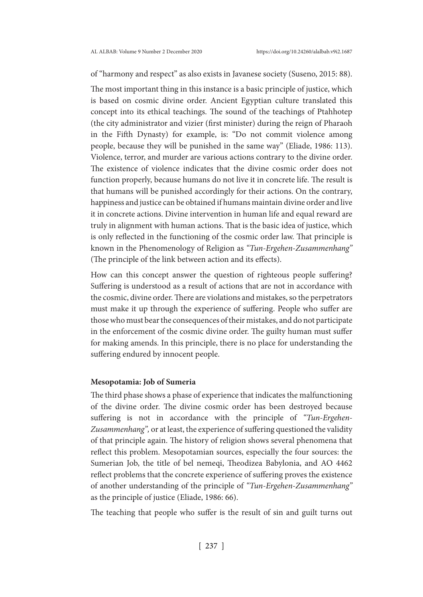# of "harmony and respect" as also exists in Javanese society (Suseno, 2015: 88).

The most important thing in this instance is a basic principle of justice, which is based on cosmic divine order. Ancient Egyptian culture translated this concept into its ethical teachings. The sound of the teachings of Ptahhotep (the city administrator and vizier (first minister) during the reign of Pharaoh in the Fifth Dynasty) for example, is: "Do not commit violence among people, because they will be punished in the same way" (Eliade, 1986: 113). Violence, terror, and murder are various actions contrary to the divine order. The existence of violence indicates that the divine cosmic order does not function properly, because humans do not live it in concrete life. The result is that humans will be punished accordingly for their actions. On the contrary, happiness and justice can be obtained if humans maintain divine order and live it in concrete actions. Divine intervention in human life and equal reward are truly in alignment with human actions. That is the basic idea of justice, which is only reflected in the functioning of the cosmic order law. That principle is known in the Phenomenology of Religion as *"Tun-Ergehen-Zusammenhang"* (The principle of the link between action and its effects).

How can this concept answer the question of righteous people suffering? Suffering is understood as a result of actions that are not in accordance with the cosmic, divine order. There are violations and mistakes, so the perpetrators must make it up through the experience of suffering. People who suffer are those who must bear the consequences of their mistakes, and do not participate in the enforcement of the cosmic divine order. The guilty human must suffer for making amends. In this principle, there is no place for understanding the suffering endured by innocent people.

## **Mesopotamia: Job of Sumeria**

The third phase shows a phase of experience that indicates the malfunctioning of the divine order. The divine cosmic order has been destroyed because suffering is not in accordance with the principle of *"Tun-Ergehen-Zusammenhang",* or at least, the experience of suffering questioned the validity of that principle again. The history of religion shows several phenomena that reflect this problem. Mesopotamian sources, especially the four sources: the Sumerian Job, the title of bel nemeqi, Theodizea Babylonia, and AO 4462 reflect problems that the concrete experience of suffering proves the existence of another understanding of the principle of *"Tun-Ergehen-Zusammenhang"* as the principle of justice (Eliade, 1986: 66).

The teaching that people who suffer is the result of sin and guilt turns out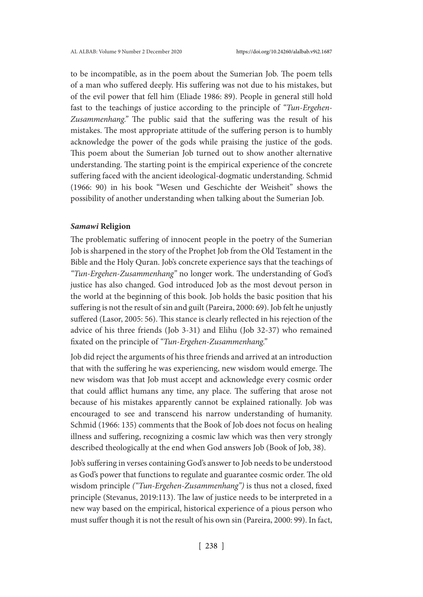to be incompatible, as in the poem about the Sumerian Job. The poem tells of a man who suffered deeply. His suffering was not due to his mistakes, but of the evil power that fell him (Eliade 1986: 89). People in general still hold fast to the teachings of justice according to the principle of *"Tun-Ergehen-Zusammenhang."* The public said that the suffering was the result of his mistakes. The most appropriate attitude of the suffering person is to humbly acknowledge the power of the gods while praising the justice of the gods. This poem about the Sumerian Job turned out to show another alternative understanding. The starting point is the empirical experience of the concrete suffering faced with the ancient ideological-dogmatic understanding. Schmid (1966: 90) in his book "Wesen und Geschichte der Weisheit" shows the possibility of another understanding when talking about the Sumerian Job.

## *Samawi* **Religion**

The problematic suffering of innocent people in the poetry of the Sumerian Job is sharpened in the story of the Prophet Job from the Old Testament in the Bible and the Holy Quran. Job's concrete experience says that the teachings of *"Tun-Ergehen-Zusammenhang"* no longer work. The understanding of God's justice has also changed. God introduced Job as the most devout person in the world at the beginning of this book. Job holds the basic position that his suffering is not the result of sin and guilt (Pareira, 2000: 69). Job felt he unjustly suffered (Lasor, 2005: 56). This stance is clearly reflected in his rejection of the advice of his three friends (Job 3-31) and Elihu (Job 32-37) who remained fixated on the principle of *"Tun-Ergehen-Zusammenhang."*

Job did reject the arguments of his three friends and arrived at an introduction that with the suffering he was experiencing, new wisdom would emerge. The new wisdom was that Job must accept and acknowledge every cosmic order that could afflict humans any time, any place. The suffering that arose not because of his mistakes apparently cannot be explained rationally. Job was encouraged to see and transcend his narrow understanding of humanity. Schmid (1966: 135) comments that the Book of Job does not focus on healing illness and suffering, recognizing a cosmic law which was then very strongly described theologically at the end when God answers Job (Book of Job, 38).

Job's suffering in verses containing God's answer to Job needs to be understood as God's power that functions to regulate and guarantee cosmic order. The old wisdom principle *("Tun-Ergehen-Zusammenhang")* is thus not a closed, fixed principle (Stevanus, 2019:113). The law of justice needs to be interpreted in a new way based on the empirical, historical experience of a pious person who must suffer though it is not the result of his own sin (Pareira, 2000: 99). In fact,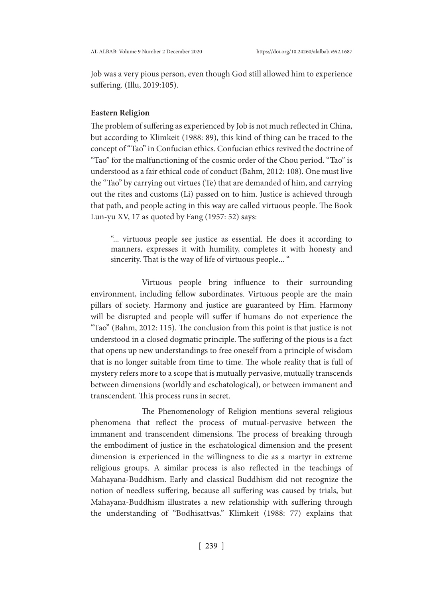Job was a very pious person, even though God still allowed him to experience suffering. (Illu, 2019:105).

#### **Eastern Religion**

The problem of suffering as experienced by Job is not much reflected in China, but according to Klimkeit (1988: 89), this kind of thing can be traced to the concept of "Tao" in Confucian ethics. Confucian ethics revived the doctrine of "Tao" for the malfunctioning of the cosmic order of the Chou period. "Tao" is understood as a fair ethical code of conduct (Bahm, 2012: 108). One must live the "Tao" by carrying out virtues (Te) that are demanded of him, and carrying out the rites and customs (Li) passed on to him. Justice is achieved through that path, and people acting in this way are called virtuous people. The Book Lun-yu XV, 17 as quoted by Fang (1957: 52) says:

"... virtuous people see justice as essential. He does it according to manners, expresses it with humility, completes it with honesty and sincerity. That is the way of life of virtuous people... "

 Virtuous people bring influence to their surrounding environment, including fellow subordinates. Virtuous people are the main pillars of society. Harmony and justice are guaranteed by Him. Harmony will be disrupted and people will suffer if humans do not experience the "Tao" (Bahm, 2012: 115). The conclusion from this point is that justice is not understood in a closed dogmatic principle. The suffering of the pious is a fact that opens up new understandings to free oneself from a principle of wisdom that is no longer suitable from time to time. The whole reality that is full of mystery refers more to a scope that is mutually pervasive, mutually transcends between dimensions (worldly and eschatological), or between immanent and transcendent. This process runs in secret.

 The Phenomenology of Religion mentions several religious phenomena that reflect the process of mutual-pervasive between the immanent and transcendent dimensions. The process of breaking through the embodiment of justice in the eschatological dimension and the present dimension is experienced in the willingness to die as a martyr in extreme religious groups. A similar process is also reflected in the teachings of Mahayana-Buddhism. Early and classical Buddhism did not recognize the notion of needless suffering, because all suffering was caused by trials, but Mahayana-Buddhism illustrates a new relationship with suffering through the understanding of "Bodhisattvas." Klimkeit (1988: 77) explains that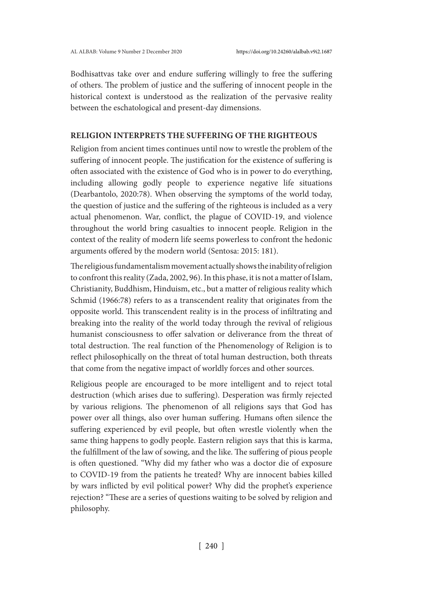Bodhisattvas take over and endure suffering willingly to free the suffering of others. The problem of justice and the suffering of innocent people in the historical context is understood as the realization of the pervasive reality between the eschatological and present-day dimensions.

# **RELIGION INTERPRETS THE SUFFERING OF THE RIGHTEOUS**

Religion from ancient times continues until now to wrestle the problem of the suffering of innocent people. The justification for the existence of suffering is often associated with the existence of God who is in power to do everything, including allowing godly people to experience negative life situations (Dearbantolo, 2020:78). When observing the symptoms of the world today, the question of justice and the suffering of the righteous is included as a very actual phenomenon. War, conflict, the plague of COVID-19, and violence throughout the world bring casualties to innocent people. Religion in the context of the reality of modern life seems powerless to confront the hedonic arguments offered by the modern world (Sentosa: 2015: 181).

The religious fundamentalism movement actually shows the inability of religion to confront this reality (Zada, 2002, 96). In this phase, it is not a matter of Islam, Christianity, Buddhism, Hinduism, etc., but a matter of religious reality which Schmid (1966:78) refers to as a transcendent reality that originates from the opposite world. This transcendent reality is in the process of infiltrating and breaking into the reality of the world today through the revival of religious humanist consciousness to offer salvation or deliverance from the threat of total destruction. The real function of the Phenomenology of Religion is to reflect philosophically on the threat of total human destruction, both threats that come from the negative impact of worldly forces and other sources.

Religious people are encouraged to be more intelligent and to reject total destruction (which arises due to suffering). Desperation was firmly rejected by various religions. The phenomenon of all religions says that God has power over all things, also over human suffering. Humans often silence the suffering experienced by evil people, but often wrestle violently when the same thing happens to godly people. Eastern religion says that this is karma, the fulfillment of the law of sowing, and the like. The suffering of pious people is often questioned. "Why did my father who was a doctor die of exposure to COVID-19 from the patients he treated? Why are innocent babies killed by wars inflicted by evil political power? Why did the prophet's experience rejection? "These are a series of questions waiting to be solved by religion and philosophy.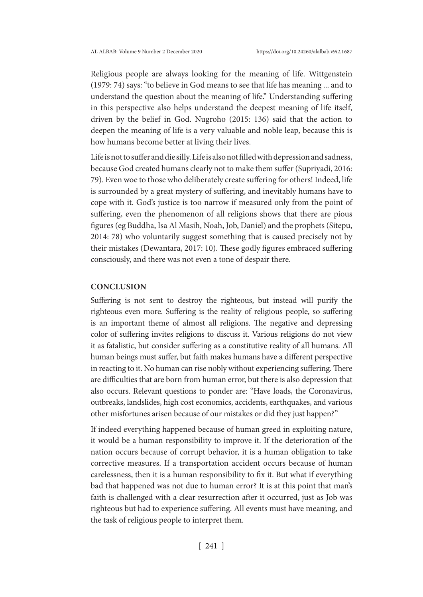Religious people are always looking for the meaning of life. Wittgenstein (1979: 74) says: "to believe in God means to see that life has meaning ... and to understand the question about the meaning of life." Understanding suffering in this perspective also helps understand the deepest meaning of life itself, driven by the belief in God. Nugroho (2015: 136) said that the action to deepen the meaning of life is a very valuable and noble leap, because this is how humans become better at living their lives.

Life is not to suffer and die silly. Life is also not filled with depression and sadness, because God created humans clearly not to make them suffer (Supriyadi, 2016: 79). Even woe to those who deliberately create suffering for others! Indeed, life is surrounded by a great mystery of suffering, and inevitably humans have to cope with it. God's justice is too narrow if measured only from the point of suffering, even the phenomenon of all religions shows that there are pious figures (eg Buddha, Isa Al Masih, Noah, Job, Daniel) and the prophets (Sitepu, 2014: 78) who voluntarily suggest something that is caused precisely not by their mistakes (Dewantara, 2017: 10). These godly figures embraced suffering consciously, and there was not even a tone of despair there.

# **CONCLUSION**

Suffering is not sent to destroy the righteous, but instead will purify the righteous even more. Suffering is the reality of religious people, so suffering is an important theme of almost all religions. The negative and depressing color of suffering invites religions to discuss it. Various religions do not view it as fatalistic, but consider suffering as a constitutive reality of all humans. All human beings must suffer, but faith makes humans have a different perspective in reacting to it. No human can rise nobly without experiencing suffering. There are difficulties that are born from human error, but there is also depression that also occurs. Relevant questions to ponder are: "Have loads, the Coronavirus, outbreaks, landslides, high cost economics, accidents, earthquakes, and various other misfortunes arisen because of our mistakes or did they just happen?"

If indeed everything happened because of human greed in exploiting nature, it would be a human responsibility to improve it. If the deterioration of the nation occurs because of corrupt behavior, it is a human obligation to take corrective measures. If a transportation accident occurs because of human carelessness, then it is a human responsibility to fix it. But what if everything bad that happened was not due to human error? It is at this point that man's faith is challenged with a clear resurrection after it occurred, just as Job was righteous but had to experience suffering. All events must have meaning, and the task of religious people to interpret them.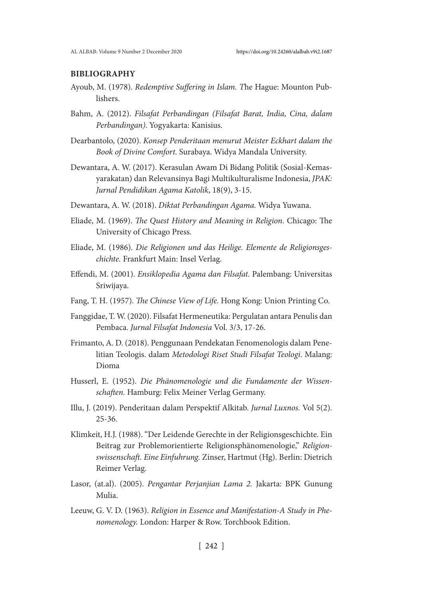## **BIBLIOGRAPHY**

- Ayoub, M. (1978). *Redemptive Suffering in Islam. T*he Hague: Mounton Publishers.
- Bahm, A. (2012). *Filsafat Perbandingan (Filsafat Barat, India, Cina, dalam Perbandingan)*. Yogyakarta: Kanisius.
- Dearbantolo, (2020). *Konsep Penderitaan menurut Meister Eckhart dalam the Book of Divine Comfort.* Surabaya. Widya Mandala University.
- Dewantara, A. W. (2017). Kerasulan Awam Di Bidang Politik (Sosial-Kemasyarakatan) dan Relevansinya Bagi Multikulturalisme Indonesia, *JPAK: Jurnal Pendidikan Agama Katolik*, 18(9), 3-15.
- Dewantara, A. W. (2018). *Diktat Perbandingan Agama.* Widya Yuwana.
- Eliade, M. (1969). *The Quest History and Meaning in Religion*. Chicago: The University of Chicago Press.
- Eliade, M. (1986). *Die Religionen und das Heilige. Elemente de Religionsgeschichte.* Frankfurt Main: Insel Verlag.
- Effendi, M. (2001). *Ensiklopedia Agama dan Filsafat*. Palembang: Universitas Sriwijaya.
- Fang, T. H. (1957). *The Chinese View of Life.* Hong Kong: Union Printing Co.
- Fanggidae, T. W. (2020). Filsafat Hermeneutika: Pergulatan antara Penulis dan Pembaca. *Jurnal Filsafat Indonesia* Vol. 3/3, 17-26.
- Frimanto, A. D. (2018). Penggunaan Pendekatan Fenomenologis dalam Penelitian Teologis. dalam *Metodologi Riset Studi Filsafat Teologi*. Malang: Dioma
- Husserl, E. (1952). *Die Phänomenologie und die Fundamente der Wissenschaften.* Hamburg: Felix Meiner Verlag Germany.
- Illu, J. (2019). Penderitaan dalam Perspektif Alkitab. *Jurnal Luxnos.* Vol 5(2). 25-36.
- Klimkeit, H.J. (1988). "Der Leidende Gerechte in der Religionsgeschichte. Ein Beitrag zur Problemorientierte Religionsphänomenologie," *Religionswissenschaft. Eine Einfuhrung.* Zinser, Hartmut (Hg). Berlin: Dietrich Reimer Verlag.
- Lasor, (at.al). (2005). *Pengantar Perjanjian Lama 2.* Jakarta: BPK Gunung Mulia.
- Leeuw, G. V. D. (1963). *Religion in Essence and Manifestation-A Study in Phenomenology.* London: Harper & Row. Torchbook Edition.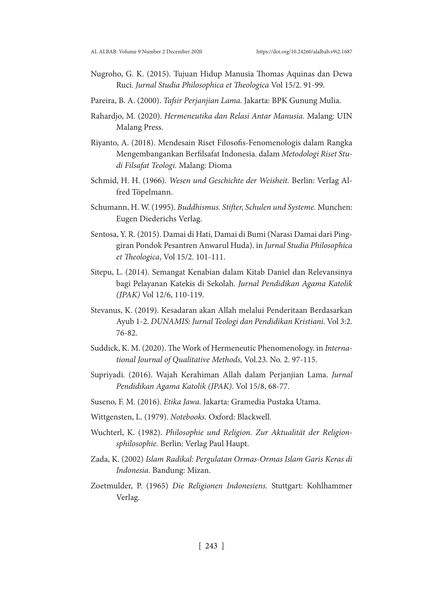- Nugroho, G. K. (2015). Tujuan Hidup Manusia Thomas Aquinas dan Dewa Ruci. *Jurnal Studia Philosophica et Theologica* Vol 15/2. 91-99.
- Pareira, B. A. (2000). *Tafsir Perjanjian Lama*. Jakarta: BPK Gunung Mulia.
- Rahardjo, M. (2020). *Hermeneutika dan Relasi Antar Manusia.* Malang: UIN Malang Press.
- Riyanto, A. (2018). Mendesain Riset Filosofis-Fenomenologis dalam Rangka Mengembangankan Berfilsafat Indonesia. dalam *Metodologi Riset Studi Filsafat Teologi.* Malang: Dioma
- Schmid, H. H. (1966). *Wesen und Geschichte der Weisheit.* Berlin: Verlag Alfred Töpelmann.
- Schumann, H. W. (1995). *Buddhismus. Stifter, Schulen und Systeme.* Munchen: Eugen Diederichs Verlag.
- Sentosa, Y. R. (2015). Damai di Hati, Damai di Bumi (Narasi Damai dari Pinggiran Pondok Pesantren Anwarul Huda). in *Jurnal Studia Philosophica et Theologica*, Vol 15/2. 101-111.
- Sitepu, L. (2014). Semangat Kenabian dalam Kitab Daniel dan Relevansinya bagi Pelayanan Katekis di Sekolah. *Jurnal Pendidikan Agama Katolik (JPAK)* Vol 12/6, 110-119.
- Stevanus, K. (2019). Kesadaran akan Allah melalui Penderitaan Berdasarkan Ayub 1-2. *DUNAMIS: Jurnal Teologi dan Pendidikan Kristiani.* Vol 3:2. 76-82.
- Suddick, K. M. (2020). The Work of Hermeneutic Phenomenology. in *International Journal of Qualitative Methods,* Vol.23. No. 2. 97-115.
- Supriyadi. (2016). Wajah Kerahiman Allah dalam Perjanjian Lama. *Jurnal Pendidikan Agama Katolik (JPAK).* Vol 15/8, 68-77.
- Suseno, F. M. (2016). *Etika Jawa.* Jakarta: Gramedia Pustaka Utama.
- Wittgensten, L. (1979). *Notebooks.* Oxford: Blackwell.
- Wuchterl, K. (1982). *Philosophie und Religion. Zur Aktualität der Religionsphilosophie.* Berlin: Verlag Paul Haupt.
- Zada, K. (2002) *Islam Radikal: Pergulatan Ormas-Ormas Islam Garis Keras di Indonesia*. Bandung: Mizan.
- Zoetmulder, P. (1965) *Die Religionen Indonesiens.* Stuttgart: Kohlhammer Verlag.